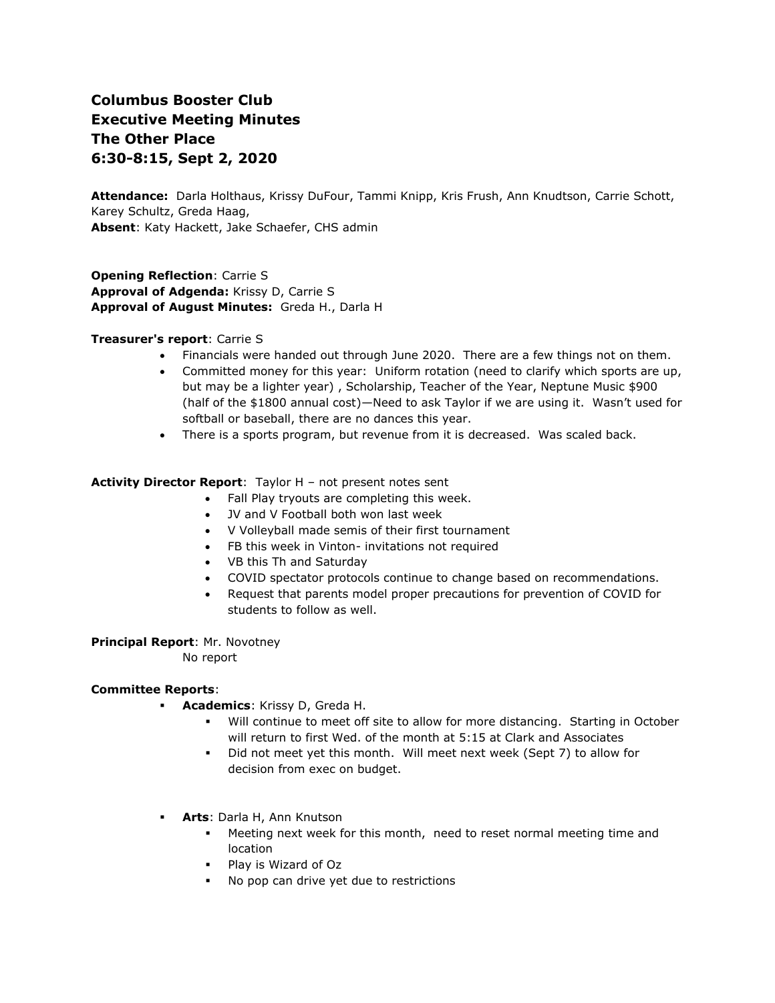# **Columbus Booster Club Executive Meeting Minutes The Other Place 6:30-8:15, Sept 2, 2020**

**Attendance:** Darla Holthaus, Krissy DuFour, Tammi Knipp, Kris Frush, Ann Knudtson, Carrie Schott, Karey Schultz, Greda Haag, **Absent**: Katy Hackett, Jake Schaefer, CHS admin

**Opening Reflection**: Carrie S **Approval of Adgenda:** Krissy D, Carrie S **Approval of August Minutes:** Greda H., Darla H

## **Treasurer's report**: Carrie S

- Financials were handed out through June 2020. There are a few things not on them.
- Committed money for this year: Uniform rotation (need to clarify which sports are up, but may be a lighter year) , Scholarship, Teacher of the Year, Neptune Music \$900 (half of the \$1800 annual cost)—Need to ask Taylor if we are using it. Wasn't used for softball or baseball, there are no dances this year.
- There is a sports program, but revenue from it is decreased. Was scaled back.

#### **Activity Director Report**: Taylor H – not present notes sent

- Fall Play tryouts are completing this week.
	- JV and V Football both won last week
	- V Volleyball made semis of their first tournament
	- FB this week in Vinton- invitations not required
	- VB this Th and Saturday
	- COVID spectator protocols continue to change based on recommendations.
	- Request that parents model proper precautions for prevention of COVID for students to follow as well.

## **Principal Report**: Mr. Novotney

No report

# **Committee Reports**:

- **Academics**: Krissy D, Greda H.
	- Will continue to meet off site to allow for more distancing. Starting in October will return to first Wed. of the month at 5:15 at Clark and Associates
	- Did not meet yet this month. Will meet next week (Sept 7) to allow for decision from exec on budget.
- **Arts**: Darla H, Ann Knutson
	- Meeting next week for this month, need to reset normal meeting time and location
	- Play is Wizard of Oz
	- No pop can drive yet due to restrictions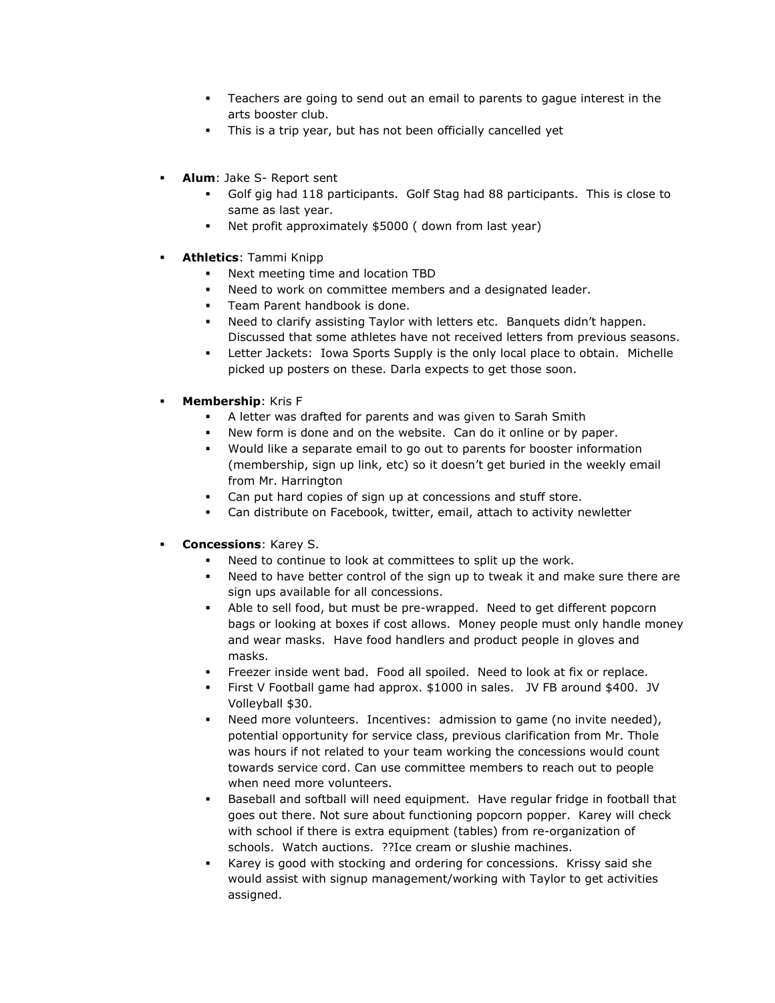- Teachers are going to send out an email to parents to gague interest in the arts booster club.
- This is a trip year, but has not been officially cancelled yet
- **Alum**: Jake S- Report sent
	- Golf gig had 118 participants. Golf Stag had 88 participants. This is close to same as last year.
	- Net profit approximately \$5000 ( down from last year)
- **Athletics: Tammi Knipp** 
	- Next meeting time and location TBD
	- Need to work on committee members and a designated leader.
	- Team Parent handbook is done.
	- Need to clarify assisting Taylor with letters etc. Banquets didn't happen. Discussed that some athletes have not received letters from previous seasons.
	- **•** Letter Jackets: Iowa Sports Supply is the only local place to obtain. Michelle picked up posters on these. Darla expects to get those soon.
- **Membership: Kris F** 
	- A letter was drafted for parents and was given to Sarah Smith
	- New form is done and on the website. Can do it online or by paper.
	- Would like a separate email to go out to parents for booster information (membership, sign up link, etc) so it doesn't get buried in the weekly email from Mr. Harrington
	- Can put hard copies of sign up at concessions and stuff store.
	- Can distribute on Facebook, twitter, email, attach to activity newletter
- **Concessions: Karey S.** 
	- Need to continue to look at committees to split up the work.
	- Need to have better control of the sign up to tweak it and make sure there are sign ups available for all concessions.
	- Able to sell food, but must be pre-wrapped. Need to get different popcorn bags or looking at boxes if cost allows. Money people must only handle money and wear masks. Have food handlers and product people in gloves and masks.
	- Freezer inside went bad. Food all spoiled. Need to look at fix or replace.
	- First V Football game had approx. \$1000 in sales. JV FB around \$400. JV Volleyball \$30.
	- Need more volunteers. Incentives: admission to game (no invite needed), potential opportunity for service class, previous clarification from Mr. Thole was hours if not related to your team working the concessions would count towards service cord. Can use committee members to reach out to people when need more volunteers.
	- Baseball and softball will need equipment. Have regular fridge in football that goes out there. Not sure about functioning popcorn popper. Karey will check with school if there is extra equipment (tables) from re-organization of schools. Watch auctions. ??Ice cream or slushie machines.
	- Karey is good with stocking and ordering for concessions. Krissy said she would assist with signup management/working with Taylor to get activities assigned.